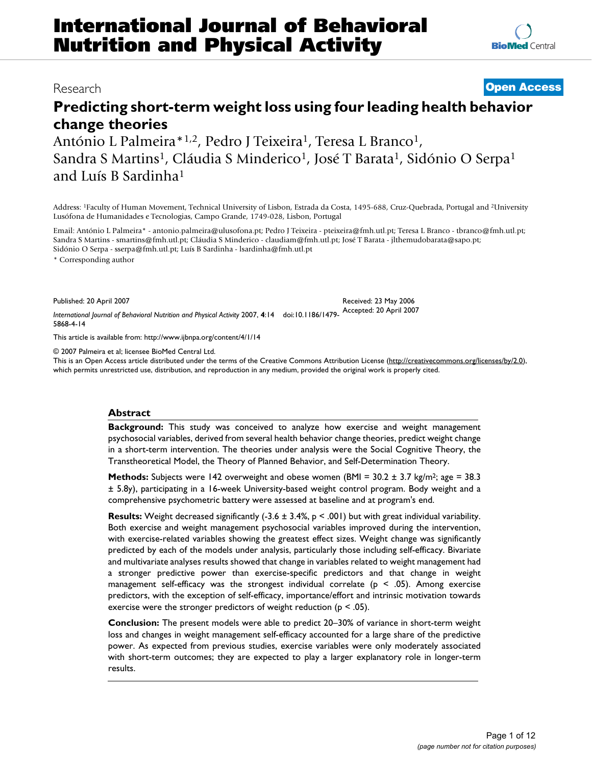# **Predicting short-term weight loss using four leading health behavior change theories**

António L Palmeira\*<sup>1,2</sup>, Pedro J Teixeira<sup>1</sup>, Teresa L Branco<sup>1</sup>, Sandra S Martins<sup>1</sup>, Cláudia S Minderico<sup>1</sup>, José T Barata<sup>1</sup>, Sidónio O Serpa<sup>1</sup> and Luís B Sardinha1

Address: 1Faculty of Human Movement, Technical University of Lisbon, Estrada da Costa, 1495-688, Cruz-Quebrada, Portugal and 2University Lusófona de Humanidades e Tecnologias, Campo Grande, 1749-028, Lisbon, Portugal

Email: António L Palmeira\* - antonio.palmeira@ulusofona.pt; Pedro J Teixeira - pteixeira@fmh.utl.pt; Teresa L Branco - tbranco@fmh.utl.pt; Sandra S Martins - smartins@fmh.utl.pt; Cláudia S Minderico - claudiam@fmh.utl.pt; José T Barata - jlthemudobarata@sapo.pt; Sidónio O Serpa - sserpa@fmh.utl.pt; Luís B Sardinha - lsardinha@fmh.utl.pt

\* Corresponding author

Published: 20 April 2007

*International Journal of Behavioral Nutrition and Physical Activity* 2007, **4**:14 doi:10.1186/1479- Accepted: 20 April 2007 5868-4-14

[This article is available from: http://www.ijbnpa.org/content/4/1/14](http://www.ijbnpa.org/content/4/1/14)

© 2007 Palmeira et al; licensee BioMed Central Ltd.

This is an Open Access article distributed under the terms of the Creative Commons Attribution License [\(http://creativecommons.org/licenses/by/2.0\)](http://creativecommons.org/licenses/by/2.0), which permits unrestricted use, distribution, and reproduction in any medium, provided the original work is properly cited.

### **Abstract**

**Background:** This study was conceived to analyze how exercise and weight management psychosocial variables, derived from several health behavior change theories, predict weight change in a short-term intervention. The theories under analysis were the Social Cognitive Theory, the Transtheoretical Model, the Theory of Planned Behavior, and Self-Determination Theory.

**Methods:** Subjects were 142 overweight and obese women (BMI = 30.2 ± 3.7 kg/m<sup>2</sup>; age = 38.3 ± 5.8y), participating in a 16-week University-based weight control program. Body weight and a comprehensive psychometric battery were assessed at baseline and at program's end.

**Results:** Weight decreased significantly (-3.6 ± 3.4%, p < .001) but with great individual variability. Both exercise and weight management psychosocial variables improved during the intervention, with exercise-related variables showing the greatest effect sizes. Weight change was significantly predicted by each of the models under analysis, particularly those including self-efficacy. Bivariate and multivariate analyses results showed that change in variables related to weight management had a stronger predictive power than exercise-specific predictors and that change in weight management self-efficacy was the strongest individual correlate ( $p < .05$ ). Among exercise predictors, with the exception of self-efficacy, importance/effort and intrinsic motivation towards exercise were the stronger predictors of weight reduction ( $p < .05$ ).

**Conclusion:** The present models were able to predict 20–30% of variance in short-term weight loss and changes in weight management self-efficacy accounted for a large share of the predictive power. As expected from previous studies, exercise variables were only moderately associated with short-term outcomes; they are expected to play a larger explanatory role in longer-term results.

# Research **[Open Access](http://www.biomedcentral.com/info/about/charter/)**

Received: 23 May 2006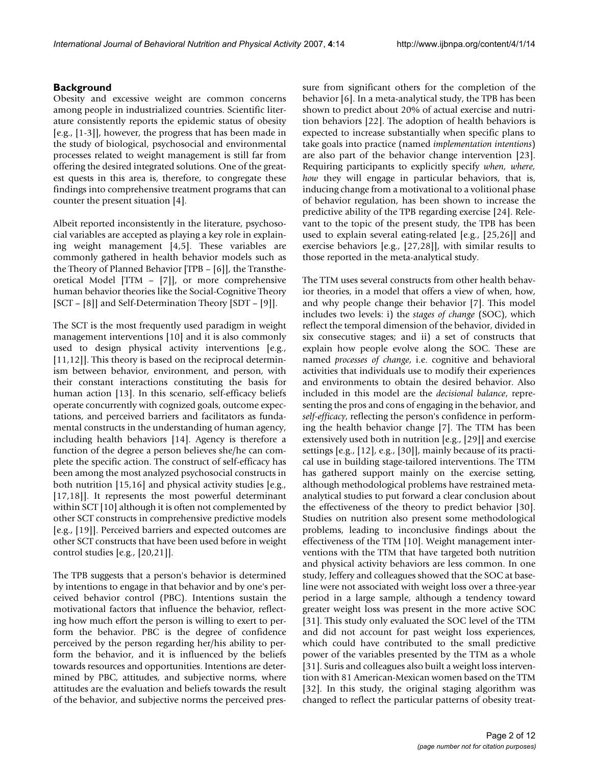# **Background**

Obesity and excessive weight are common concerns among people in industrialized countries. Scientific literature consistently reports the epidemic status of obesity [e.g., [1-3]], however, the progress that has been made in the study of biological, psychosocial and environmental processes related to weight management is still far from offering the desired integrated solutions. One of the greatest quests in this area is, therefore, to congregate these findings into comprehensive treatment programs that can counter the present situation [4].

Albeit reported inconsistently in the literature, psychosocial variables are accepted as playing a key role in explaining weight management [4,5]. These variables are commonly gathered in health behavior models such as the Theory of Planned Behavior [TPB – [6]], the Transtheoretical Model [TTM – [7]], or more comprehensive human behavior theories like the Social-Cognitive Theory [SCT – [8]] and Self-Determination Theory [SDT – [9]].

The SCT is the most frequently used paradigm in weight management interventions [10] and it is also commonly used to design physical activity interventions [e.g., [11,12]]. This theory is based on the reciprocal determinism between behavior, environment, and person, with their constant interactions constituting the basis for human action [13]. In this scenario, self-efficacy beliefs operate concurrently with cognized goals, outcome expectations, and perceived barriers and facilitators as fundamental constructs in the understanding of human agency, including health behaviors [14]. Agency is therefore a function of the degree a person believes she/he can complete the specific action. The construct of self-efficacy has been among the most analyzed psychosocial constructs in both nutrition [15,16] and physical activity studies [e.g., [17,18]]. It represents the most powerful determinant within SCT [10] although it is often not complemented by other SCT constructs in comprehensive predictive models [e.g., [19]]. Perceived barriers and expected outcomes are other SCT constructs that have been used before in weight control studies [e.g., [20,21]].

The TPB suggests that a person's behavior is determined by intentions to engage in that behavior and by one's perceived behavior control (PBC). Intentions sustain the motivational factors that influence the behavior, reflecting how much effort the person is willing to exert to perform the behavior. PBC is the degree of confidence perceived by the person regarding her/his ability to perform the behavior, and it is influenced by the beliefs towards resources and opportunities. Intentions are determined by PBC, attitudes, and subjective norms, where attitudes are the evaluation and beliefs towards the result of the behavior, and subjective norms the perceived pressure from significant others for the completion of the behavior [6]. In a meta-analytical study, the TPB has been shown to predict about 20% of actual exercise and nutrition behaviors [22]. The adoption of health behaviors is expected to increase substantially when specific plans to take goals into practice (named *implementation intentions*) are also part of the behavior change intervention [23]. Requiring participants to explicitly specify *when, where, how* they will engage in particular behaviors, that is, inducing change from a motivational to a volitional phase of behavior regulation, has been shown to increase the predictive ability of the TPB regarding exercise [24]. Relevant to the topic of the present study, the TPB has been used to explain several eating-related [e.g., [25,26]] and exercise behaviors [e.g., [27,28]], with similar results to those reported in the meta-analytical study.

The TTM uses several constructs from other health behavior theories, in a model that offers a view of when, how, and why people change their behavior [7]. This model includes two levels: i) the *stages of change* (SOC), which reflect the temporal dimension of the behavior, divided in six consecutive stages; and ii) a set of constructs that explain how people evolve along the SOC. These are named *processes of change*, i.e. cognitive and behavioral activities that individuals use to modify their experiences and environments to obtain the desired behavior. Also included in this model are the *decisional balance*, representing the pros and cons of engaging in the behavior, and *self-efficacy*, reflecting the person's confidence in performing the health behavior change [7]. The TTM has been extensively used both in nutrition [e.g., [29]] and exercise settings [e.g., [12], e.g., [30]], mainly because of its practical use in building stage-tailored interventions. The TTM has gathered support mainly on the exercise setting, although methodological problems have restrained metaanalytical studies to put forward a clear conclusion about the effectiveness of the theory to predict behavior [30]. Studies on nutrition also present some methodological problems, leading to inconclusive findings about the effectiveness of the TTM [10]. Weight management interventions with the TTM that have targeted both nutrition and physical activity behaviors are less common. In one study, Jeffery and colleagues showed that the SOC at baseline were not associated with weight loss over a three-year period in a large sample, although a tendency toward greater weight loss was present in the more active SOC [31]. This study only evaluated the SOC level of the TTM and did not account for past weight loss experiences, which could have contributed to the small predictive power of the variables presented by the TTM as a whole [31]. Suris and colleagues also built a weight loss intervention with 81 American-Mexican women based on the TTM [32]. In this study, the original staging algorithm was changed to reflect the particular patterns of obesity treat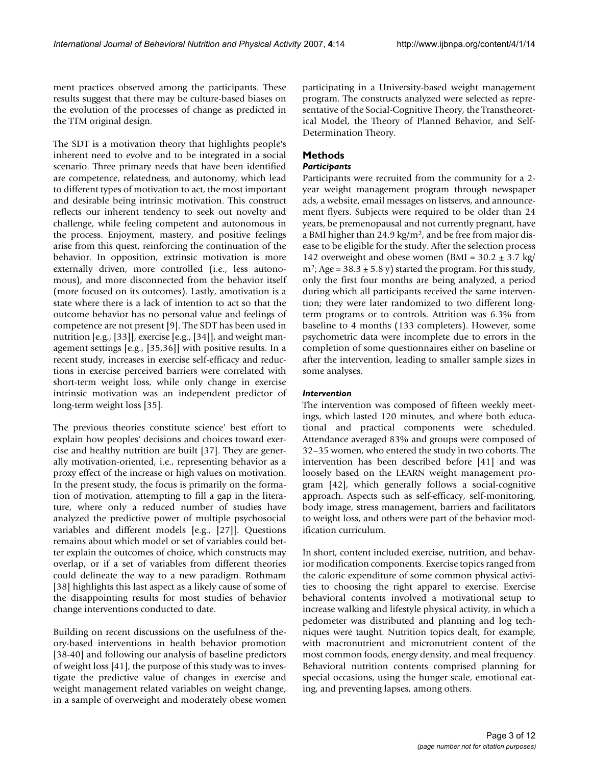ment practices observed among the participants. These results suggest that there may be culture-based biases on the evolution of the processes of change as predicted in the TTM original design.

The SDT is a motivation theory that highlights people's inherent need to evolve and to be integrated in a social scenario. Three primary needs that have been identified are competence, relatedness, and autonomy, which lead to different types of motivation to act, the most important and desirable being intrinsic motivation. This construct reflects our inherent tendency to seek out novelty and challenge, while feeling competent and autonomous in the process. Enjoyment, mastery, and positive feelings arise from this quest, reinforcing the continuation of the behavior. In opposition, extrinsic motivation is more externally driven, more controlled (i.e., less autonomous), and more disconnected from the behavior itself (more focused on its outcomes). Lastly, amotivation is a state where there is a lack of intention to act so that the outcome behavior has no personal value and feelings of competence are not present [9]. The SDT has been used in nutrition [e.g., [33]], exercise [e.g., [34]], and weight management settings [e.g., [35,36]] with positive results. In a recent study, increases in exercise self-efficacy and reductions in exercise perceived barriers were correlated with short-term weight loss, while only change in exercise intrinsic motivation was an independent predictor of long-term weight loss [35].

The previous theories constitute science' best effort to explain how peoples' decisions and choices toward exercise and healthy nutrition are built [37]. They are generally motivation-oriented, i.e., representing behavior as a proxy effect of the increase or high values on motivation. In the present study, the focus is primarily on the formation of motivation, attempting to fill a gap in the literature, where only a reduced number of studies have analyzed the predictive power of multiple psychosocial variables and different models [e.g., [27]]. Questions remains about which model or set of variables could better explain the outcomes of choice, which constructs may overlap, or if a set of variables from different theories could delineate the way to a new paradigm. Rothmam [38] highlights this last aspect as a likely cause of some of the disappointing results for most studies of behavior change interventions conducted to date.

Building on recent discussions on the usefulness of theory-based interventions in health behavior promotion [38-40] and following our analysis of baseline predictors of weight loss [41], the purpose of this study was to investigate the predictive value of changes in exercise and weight management related variables on weight change, in a sample of overweight and moderately obese women

participating in a University-based weight management program. The constructs analyzed were selected as representative of the Social-Cognitive Theory, the Transtheoretical Model, the Theory of Planned Behavior, and Self-Determination Theory.

# **Methods**

## *Participants*

Participants were recruited from the community for a 2 year weight management program through newspaper ads, a website, email messages on listservs, and announcement flyers. Subjects were required to be older than 24 years, be premenopausal and not currently pregnant, have a BMI higher than 24.9 kg/m<sup>2</sup>, and be free from major disease to be eligible for the study. After the selection process 142 overweight and obese women (BMI =  $30.2 \pm 3.7$  kg/  $m^2$ ; Age = 38.3  $\pm$  5.8 y) started the program. For this study, only the first four months are being analyzed, a period during which all participants received the same intervention; they were later randomized to two different longterm programs or to controls. Attrition was 6.3% from baseline to 4 months (133 completers). However, some psychometric data were incomplete due to errors in the completion of some questionnaires either on baseline or after the intervention, leading to smaller sample sizes in some analyses.

# *Intervention*

The intervention was composed of fifteen weekly meetings, which lasted 120 minutes, and where both educational and practical components were scheduled. Attendance averaged 83% and groups were composed of 32–35 women, who entered the study in two cohorts. The intervention has been described before [41] and was loosely based on the LEARN weight management program [42], which generally follows a social-cognitive approach. Aspects such as self-efficacy, self-monitoring, body image, stress management, barriers and facilitators to weight loss, and others were part of the behavior modification curriculum.

In short, content included exercise, nutrition, and behavior modification components. Exercise topics ranged from the caloric expenditure of some common physical activities to choosing the right apparel to exercise. Exercise behavioral contents involved a motivational setup to increase walking and lifestyle physical activity, in which a pedometer was distributed and planning and log techniques were taught. Nutrition topics dealt, for example, with macronutrient and micronutrient content of the most common foods, energy density, and meal frequency. Behavioral nutrition contents comprised planning for special occasions, using the hunger scale, emotional eating, and preventing lapses, among others.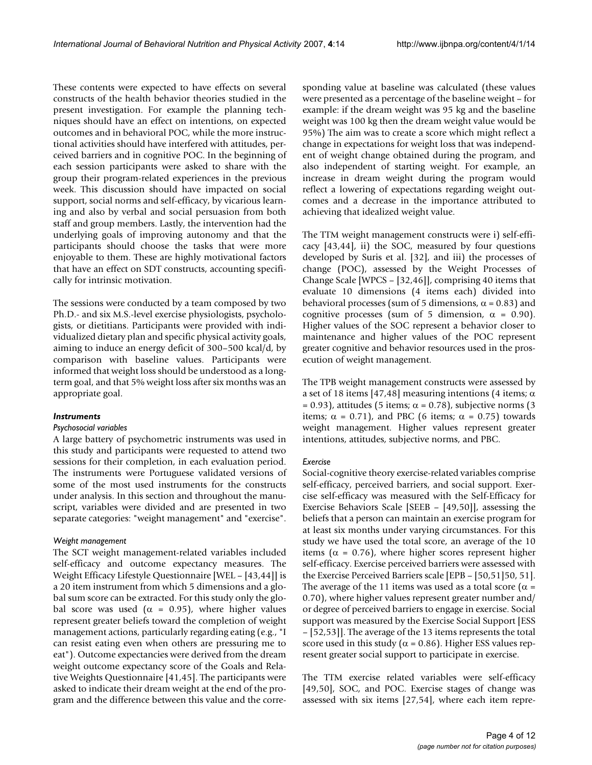These contents were expected to have effects on several constructs of the health behavior theories studied in the present investigation. For example the planning techniques should have an effect on intentions, on expected outcomes and in behavioral POC, while the more instructional activities should have interfered with attitudes, perceived barriers and in cognitive POC. In the beginning of each session participants were asked to share with the group their program-related experiences in the previous week. This discussion should have impacted on social support, social norms and self-efficacy, by vicarious learning and also by verbal and social persuasion from both staff and group members. Lastly, the intervention had the underlying goals of improving autonomy and that the participants should choose the tasks that were more enjoyable to them. These are highly motivational factors that have an effect on SDT constructs, accounting specifically for intrinsic motivation.

The sessions were conducted by a team composed by two Ph.D.- and six M.S.-level exercise physiologists, psychologists, or dietitians. Participants were provided with individualized dietary plan and specific physical activity goals, aiming to induce an energy deficit of 300–500 kcal/d, by comparison with baseline values. Participants were informed that weight loss should be understood as a longterm goal, and that 5% weight loss after six months was an appropriate goal.

#### *Instruments*

#### *Psychosocial variables*

A large battery of psychometric instruments was used in this study and participants were requested to attend two sessions for their completion, in each evaluation period. The instruments were Portuguese validated versions of some of the most used instruments for the constructs under analysis. In this section and throughout the manuscript, variables were divided and are presented in two separate categories: "weight management" and "exercise".

### *Weight management*

The SCT weight management-related variables included self-efficacy and outcome expectancy measures. The Weight Efficacy Lifestyle Questionnaire [WEL – [43,44]] is a 20 item instrument from which 5 dimensions and a global sum score can be extracted. For this study only the global score was used ( $\alpha = 0.95$ ), where higher values represent greater beliefs toward the completion of weight management actions, particularly regarding eating (e.g., "I can resist eating even when others are pressuring me to eat"). Outcome expectancies were derived from the dream weight outcome expectancy score of the Goals and Relative Weights Questionnaire [41,45]. The participants were asked to indicate their dream weight at the end of the program and the difference between this value and the corresponding value at baseline was calculated (these values were presented as a percentage of the baseline weight – for example: if the dream weight was 95 kg and the baseline weight was 100 kg then the dream weight value would be 95%) The aim was to create a score which might reflect a change in expectations for weight loss that was independent of weight change obtained during the program, and also independent of starting weight. For example, an increase in dream weight during the program would reflect a lowering of expectations regarding weight outcomes and a decrease in the importance attributed to achieving that idealized weight value.

The TTM weight management constructs were i) self-efficacy [43,44], ii) the SOC, measured by four questions developed by Suris et al. [32], and iii) the processes of change (POC), assessed by the Weight Processes of Change Scale [WPCS – [32,46]], comprising 40 items that evaluate 10 dimensions (4 items each) divided into behavioral processes (sum of 5 dimensions,  $\alpha$  = 0.83) and cognitive processes (sum of 5 dimension,  $\alpha = 0.90$ ). Higher values of the SOC represent a behavior closer to maintenance and higher values of the POC represent greater cognitive and behavior resources used in the prosecution of weight management.

The TPB weight management constructs were assessed by a set of 18 items [47,48] measuring intentions (4 items;  $\alpha$  $= 0.93$ ), attitudes (5 items;  $\alpha = 0.78$ ), subjective norms (3 items;  $\alpha = 0.71$ ), and PBC (6 items;  $\alpha = 0.75$ ) towards weight management. Higher values represent greater intentions, attitudes, subjective norms, and PBC.

#### *Exercise*

Social-cognitive theory exercise-related variables comprise self-efficacy, perceived barriers, and social support. Exercise self-efficacy was measured with the Self-Efficacy for Exercise Behaviors Scale [SEEB – [49,50]], assessing the beliefs that a person can maintain an exercise program for at least six months under varying circumstances. For this study we have used the total score, an average of the 10 items ( $\alpha$  = 0.76), where higher scores represent higher self-efficacy. Exercise perceived barriers were assessed with the Exercise Perceived Barriers scale [EPB – [50,51]50, 51]. The average of the 11 items was used as a total score ( $\alpha$  = 0.70), where higher values represent greater number and/ or degree of perceived barriers to engage in exercise. Social support was measured by the Exercise Social Support [ESS – [52,53]]. The average of the 13 items represents the total score used in this study ( $\alpha$  = 0.86). Higher ESS values represent greater social support to participate in exercise.

The TTM exercise related variables were self-efficacy [49,50], SOC, and POC. Exercise stages of change was assessed with six items [27,54], where each item repre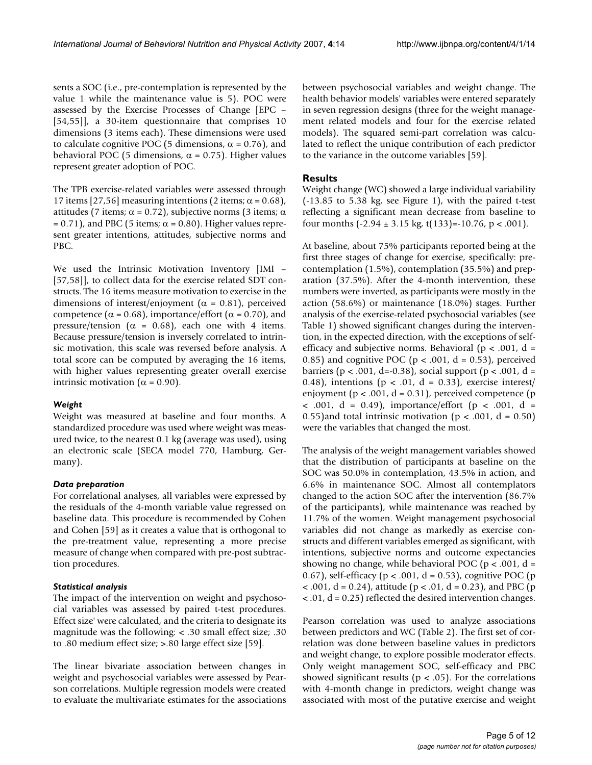sents a SOC (i.e., pre-contemplation is represented by the value 1 while the maintenance value is 5). POC were assessed by the Exercise Processes of Change [EPC – [54,55]], a 30-item questionnaire that comprises 10 dimensions (3 items each). These dimensions were used to calculate cognitive POC (5 dimensions,  $\alpha = 0.76$ ), and behavioral POC (5 dimensions,  $\alpha$  = 0.75). Higher values represent greater adoption of POC.

The TPB exercise-related variables were assessed through 17 items [27,56] measuring intentions (2 items;  $\alpha$  = 0.68), attitudes (7 items;  $\alpha$  = 0.72), subjective norms (3 items;  $\alpha$  $= 0.71$ ), and PBC (5 items;  $\alpha = 0.80$ ). Higher values represent greater intentions, attitudes, subjective norms and PBC.

We used the Intrinsic Motivation Inventory [IMI – [57,58]], to collect data for the exercise related SDT constructs. The 16 items measure motivation to exercise in the dimensions of interest/enjoyment ( $\alpha = 0.81$ ), perceived competence ( $\alpha$  = 0.68), importance/effort ( $\alpha$  = 0.70), and pressure/tension ( $\alpha = 0.68$ ), each one with 4 items. Because pressure/tension is inversely correlated to intrinsic motivation, this scale was reversed before analysis. A total score can be computed by averaging the 16 items, with higher values representing greater overall exercise intrinsic motivation ( $\alpha$  = 0.90).

#### *Weight*

Weight was measured at baseline and four months. A standardized procedure was used where weight was measured twice, to the nearest 0.1 kg (average was used), using an electronic scale (SECA model 770, Hamburg, Germany).

#### *Data preparation*

For correlational analyses, all variables were expressed by the residuals of the 4-month variable value regressed on baseline data. This procedure is recommended by Cohen and Cohen [59] as it creates a value that is orthogonal to the pre-treatment value, representing a more precise measure of change when compared with pre-post subtraction procedures.

#### *Statistical analysis*

The impact of the intervention on weight and psychosocial variables was assessed by paired t-test procedures. Effect size' were calculated, and the criteria to designate its magnitude was the following: < .30 small effect size; .30 to .80 medium effect size; >.80 large effect size [59].

The linear bivariate association between changes in weight and psychosocial variables were assessed by Pearson correlations. Multiple regression models were created to evaluate the multivariate estimates for the associations between psychosocial variables and weight change. The health behavior models' variables were entered separately in seven regression designs (three for the weight management related models and four for the exercise related models). The squared semi-part correlation was calculated to reflect the unique contribution of each predictor to the variance in the outcome variables [59].

#### **Results**

Weight change (WC) showed a large individual variability (-13.85 to 5.38 kg, see Figure 1), with the paired t-test reflecting a significant mean decrease from baseline to four months  $(-2.94 \pm 3.15 \text{ kg}, t(133) = -10.76, p < .001)$ .

At baseline, about 75% participants reported being at the first three stages of change for exercise, specifically: precontemplation (1.5%), contemplation (35.5%) and preparation (37.5%). After the 4-month intervention, these numbers were inverted, as participants were mostly in the action (58.6%) or maintenance (18.0%) stages. Further analysis of the exercise-related psychosocial variables (see Table 1) showed significant changes during the intervention, in the expected direction, with the exceptions of selfefficacy and subjective norms. Behavioral ( $p < .001$ , d = 0.85) and cognitive POC ( $p < .001$ ,  $d = 0.53$ ), perceived barriers ( $p < .001$ , d=-0.38), social support ( $p < .001$ , d = 0.48), intentions ( $p < .01$ ,  $d = 0.33$ ), exercise interest/ enjoyment ( $p < .001$ ,  $d = 0.31$ ), perceived competence ( $p$  $\langle 0.001, d = 0.49 \rangle$ , importance/effort (p  $\langle 0.001, d = 0.01 \rangle$ 0.55)and total intrinsic motivation ( $p < .001$ ,  $d = 0.50$ ) were the variables that changed the most.

The analysis of the weight management variables showed that the distribution of participants at baseline on the SOC was 50.0% in contemplation, 43.5% in action, and 6.6% in maintenance SOC. Almost all contemplators changed to the action SOC after the intervention (86.7% of the participants), while maintenance was reached by 11.7% of the women. Weight management psychosocial variables did not change as markedly as exercise constructs and different variables emerged as significant, with intentions, subjective norms and outcome expectancies showing no change, while behavioral POC ( $p < .001$ , d = 0.67), self-efficacy ( $p < .001$ ,  $d = 0.53$ ), cognitive POC ( $p$ )  $\langle 0.001, d = 0.24 \rangle$ , attitude (p  $\langle 0.01, d = 0.23 \rangle$ , and PBC (p < .01, d = 0.25) reflected the desired intervention changes.

Pearson correlation was used to analyze associations between predictors and WC (Table 2). The first set of correlation was done between baseline values in predictors and weight change, to explore possible moderator effects. Only weight management SOC, self-efficacy and PBC showed significant results ( $p < .05$ ). For the correlations with 4-month change in predictors, weight change was associated with most of the putative exercise and weight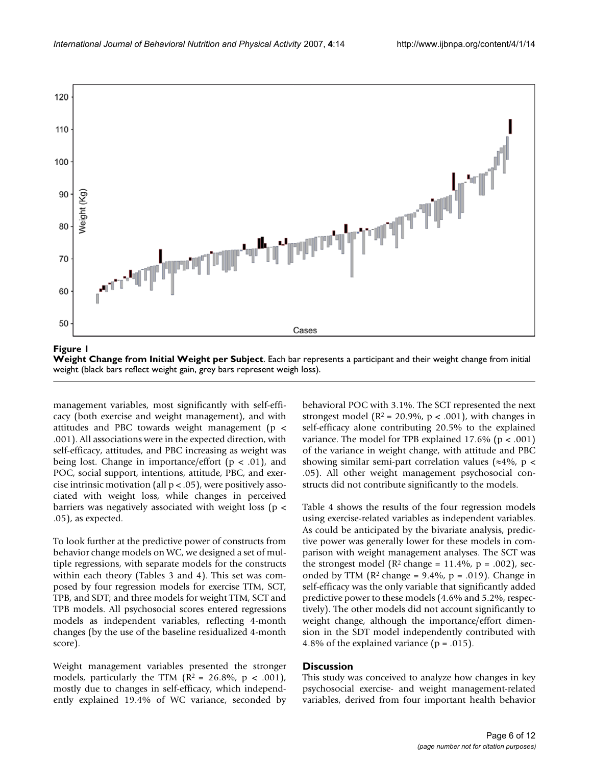

**Weight Change from Initial Weight per Subject**. Each bar represents a participant and their weight change from initial weight (black bars reflect weight gain, grey bars represent weigh loss).

management variables, most significantly with self-efficacy (both exercise and weight management), and with attitudes and PBC towards weight management (p < .001). All associations were in the expected direction, with self-efficacy, attitudes, and PBC increasing as weight was being lost. Change in importance/effort ( $p < .01$ ), and POC, social support, intentions, attitude, PBC, and exercise intrinsic motivation (all p < .05), were positively associated with weight loss, while changes in perceived barriers was negatively associated with weight loss (p < .05), as expected.

To look further at the predictive power of constructs from behavior change models on WC, we designed a set of multiple regressions, with separate models for the constructs within each theory (Tables 3 and 4). This set was composed by four regression models for exercise TTM, SCT, TPB, and SDT; and three models for weight TTM, SCT and TPB models. All psychosocial scores entered regressions models as independent variables, reflecting 4-month changes (by the use of the baseline residualized 4-month score).

Weight management variables presented the stronger models, particularly the TTM  $(R^2 = 26.8\%, p < .001)$ , mostly due to changes in self-efficacy, which independently explained 19.4% of WC variance, seconded by behavioral POC with 3.1%. The SCT represented the next strongest model ( $R^2 = 20.9\%$ ,  $p < .001$ ), with changes in self-efficacy alone contributing 20.5% to the explained variance. The model for TPB explained 17.6% ( $p < .001$ ) of the variance in weight change, with attitude and PBC showing similar semi-part correlation values ( $\approx$ 4%, p < .05). All other weight management psychosocial constructs did not contribute significantly to the models.

Table 4 shows the results of the four regression models using exercise-related variables as independent variables. As could be anticipated by the bivariate analysis, predictive power was generally lower for these models in comparison with weight management analyses. The SCT was the strongest model ( $\mathbb{R}^2$  change = 11.4%,  $p = .002$ ), seconded by TTM  $(R^2 \text{ change} = 9.4\%, p = .019)$ . Change in self-efficacy was the only variable that significantly added predictive power to these models (4.6% and 5.2%, respectively). The other models did not account significantly to weight change, although the importance/effort dimension in the SDT model independently contributed with 4.8% of the explained variance ( $p = .015$ ).

#### **Discussion**

This study was conceived to analyze how changes in key psychosocial exercise- and weight management-related variables, derived from four important health behavior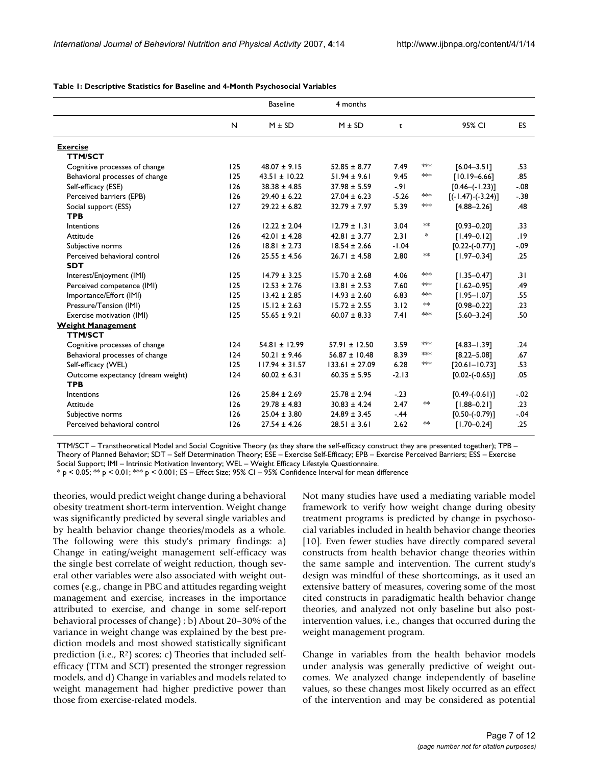|                                   |     | <b>Baseline</b>    | 4 months           |         |         |                       |           |
|-----------------------------------|-----|--------------------|--------------------|---------|---------|-----------------------|-----------|
|                                   | N   | $M \pm SD$         | $M \pm SD$         | t       |         | 95% CI                | <b>ES</b> |
| <b>Exercise</b>                   |     |                    |                    |         |         |                       |           |
| <b>TTM/SCT</b>                    |     |                    |                    |         |         |                       |           |
| Cognitive processes of change     | 125 | $48.07 \pm 9.15$   | $52.85 \pm 8.77$   | 7.49    | $*$     | $[6.04 - 3.5]$        | .53       |
| Behavioral processes of change    | 125 | $43.51 \pm 10.22$  | $51.94 \pm 9.61$   | 9.45    | $**$    | $[10.19 - 6.66]$      | .85       |
| Self-efficacy (ESE)               | 126 | $38.38 \pm 4.85$   | $37.98 \pm 5.59$   | $-91$   |         | $[0.46 - (-1.23)]$    | $-.08$    |
| Perceived barriers (EPB)          | 126 | $29.40 \pm 6.22$   | $27.04 \pm 6.23$   | $-5.26$ | $*$     | $[(-1.47) - (-3.24)]$ | $-38$     |
| Social support (ESS)              | 127 | $29.22 \pm 6.82$   | $32.79 \pm 7.97$   | 5.39    | $*$     | $[4.88 - 2.26]$       | .48       |
| <b>TPB</b>                        |     |                    |                    |         |         |                       |           |
| Intentions                        | 126 | $12.22 \pm 2.04$   | $12.79 \pm 1.31$   | 3.04    | $*\ast$ | $[0.93 - 0.20]$       | .33       |
| Attitude                          | 126 | $42.01 \pm 4.28$   | $42.81 \pm 3.77$   | 2.31    | *       | $[1.49 - 0.12]$       | .19       |
| Subjective norms                  | 126 | $18.81 \pm 2.73$   | $18.54 \pm 2.66$   | $-1.04$ |         | $[0.22 - (-0.77)]$    | $-.09$    |
| Perceived behavioral control      | 126 | $25.55 \pm 4.56$   | $26.71 \pm 4.58$   | 2.80    | **      | $[1.97 - 0.34]$       | .25       |
| <b>SDT</b>                        |     |                    |                    |         |         |                       |           |
| Interest/Enjoyment (IMI)          | 125 | $14.79 \pm 3.25$   | $15.70 \pm 2.68$   | 4.06    | $*$     | $[1.35 - 0.47]$       | .31       |
| Perceived competence (IMI)        | 125 | $12.53 \pm 2.76$   | $13.81 \pm 2.53$   | 7.60    | $**$    | $[1.62 - 0.95]$       | .49       |
| Importance/Effort (IMI)           | 125 | $13.42 \pm 2.85$   | $14.93 \pm 2.60$   | 6.83    | **      | $[1.95 - 1.07]$       | .55       |
| Pressure/Tension (IMI)            | 125 | $15.12 \pm 2.63$   | $15.72 \pm 2.55$   | 3.12    | $*$     | $[0.98 - 0.22]$       | .23       |
| Exercise motivation (IMI)         | 125 | $55.65 \pm 9.21$   | $60.07 \pm 8.33$   | 7.41    | $*$     | $[5.60 - 3.24]$       | .50       |
| <b>Weight Management</b>          |     |                    |                    |         |         |                       |           |
| <b>TTM/SCT</b>                    |     |                    |                    |         |         |                       |           |
| Cognitive processes of change     | 124 | $54.81 \pm 12.99$  | $57.91 \pm 12.50$  | 3.59    | $*$     | $[4.83 - 1.39]$       | .24       |
| Behavioral processes of change    | 124 | $50.21 \pm 9.46$   | $56.87 \pm 10.48$  | 8.39    | $*$     | $[8.22 - 5.08]$       | .67       |
| Self-efficacy (WEL)               | 125 | $117.94 \pm 31.57$ | $133.61 \pm 27.09$ | 6.28    | $*$     | $[20.61 - 10.73]$     | .53       |
| Outcome expectancy (dream weight) | 124 | $60.02 \pm 6.31$   | $60.35 \pm 5.95$   | $-2.13$ |         | $[0.02 - (-0.65)]$    | .05       |
| <b>TPB</b>                        |     |                    |                    |         |         |                       |           |
| Intentions                        | 126 | $25.84 \pm 2.69$   | $25.78 \pm 2.94$   | $-23$   |         | $[0.49 - (-0.61)]$    | $-.02$    |
| Attitude                          | 126 | $29.78 \pm 4.83$   | $30.83 \pm 4.24$   | 2.47    | **      | $[1.88 - 0.21]$       | .23       |
| Subjective norms                  | 126 | $25.04 \pm 3.80$   | $24.89 \pm 3.45$   | $-44$   |         | $[0.50-(0.79)]$       | $-04$     |
| Perceived behavioral control      | 126 | $27.54 \pm 4.26$   | $28.51 \pm 3.61$   | 2.62    | **      | $[1.70 - 0.24]$       | .25       |

**Table 1: Descriptive Statistics for Baseline and 4-Month Psychosocial Variables**

TTM/SCT – Transtheoretical Model and Social Cognitive Theory (as they share the self-efficacy construct they are presented together); TPB – Theory of Planned Behavior; SDT – Self Determination Theory; ESE – Exercise Self-Efficacy; EPB – Exercise Perceived Barriers; ESS – Exercise Social Support; IMI – Intrinsic Motivation Inventory; WEL – Weight Efficacy Lifestyle Questionnaire.

 $*$  p < 0.05;  $**$  p < 0.01;  $**$  p < 0.001; ES – Effect Size; 95% CI – 95% Confidence Interval for mean difference

theories, would predict weight change during a behavioral obesity treatment short-term intervention. Weight change was significantly predicted by several single variables and by health behavior change theories/models as a whole. The following were this study's primary findings: a) Change in eating/weight management self-efficacy was the single best correlate of weight reduction, though several other variables were also associated with weight outcomes (e.g., change in PBC and attitudes regarding weight management and exercise, increases in the importance attributed to exercise, and change in some self-report behavioral processes of change) ; b) About 20–30% of the variance in weight change was explained by the best prediction models and most showed statistically significant prediction (i.e.,  $\mathbb{R}^2$ ) scores; c) Theories that included selfefficacy (TTM and SCT) presented the stronger regression models, and d) Change in variables and models related to weight management had higher predictive power than those from exercise-related models.

Not many studies have used a mediating variable model framework to verify how weight change during obesity treatment programs is predicted by change in psychosocial variables included in health behavior change theories [10]. Even fewer studies have directly compared several constructs from health behavior change theories within the same sample and intervention. The current study's design was mindful of these shortcomings, as it used an extensive battery of measures, covering some of the most cited constructs in paradigmatic health behavior change theories, and analyzed not only baseline but also postintervention values, i.e., changes that occurred during the weight management program.

Change in variables from the health behavior models under analysis was generally predictive of weight outcomes. We analyzed change independently of baseline values, so these changes most likely occurred as an effect of the intervention and may be considered as potential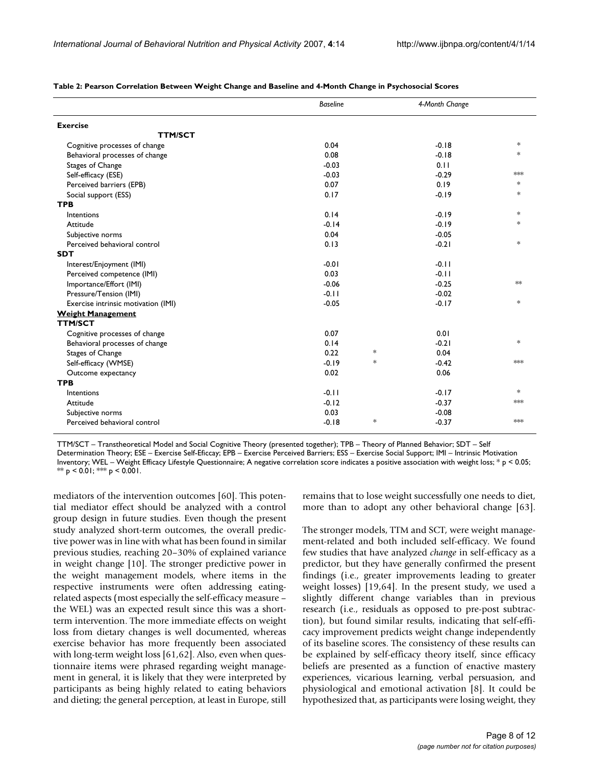| <b>Exercise</b><br><b>TTM/SCT</b>   |         |        |         |        |
|-------------------------------------|---------|--------|---------|--------|
|                                     |         |        |         |        |
|                                     |         |        |         |        |
| Cognitive processes of change       | 0.04    |        | $-0.18$ | $\ast$ |
| Behavioral processes of change      | 0.08    |        | $-0.18$ | $\ast$ |
| Stages of Change                    | $-0.03$ |        | 0.11    |        |
| Self-efficacy (ESE)                 | $-0.03$ |        | $-0.29$ | $*$    |
| Perceived barriers (EPB)            | 0.07    |        | 0.19    | $\ast$ |
| Social support (ESS)                | 0.17    |        | $-0.19$ | $*$    |
| <b>TPB</b>                          |         |        |         |        |
| Intentions                          | 0.14    |        | $-0.19$ | $*$    |
| Attitude                            | $-0.14$ |        | $-0.19$ | $\ast$ |
| Subjective norms                    | 0.04    |        | $-0.05$ |        |
| Perceived behavioral control        | 0.13    |        | $-0.21$ | $\ast$ |
| <b>SDT</b>                          |         |        |         |        |
| Interest/Enjoyment (IMI)            | $-0.01$ |        | $-0.11$ |        |
| Perceived competence (IMI)          | 0.03    |        | $-0.11$ |        |
| Importance/Effort (IMI)             | $-0.06$ |        | $-0.25$ | $*$    |
| Pressure/Tension (IMI)              | $-0.11$ |        | $-0.02$ |        |
| Exercise intrinsic motivation (IMI) | $-0.05$ |        | $-0.17$ | $*$    |
| <b>Weight Management</b>            |         |        |         |        |
| <b>TTM/SCT</b>                      |         |        |         |        |
| Cognitive processes of change       | 0.07    |        | 0.01    |        |
| Behavioral processes of change      | 0.14    |        | $-0.21$ | $*$    |
| Stages of Change                    | 0.22    | $\ast$ | 0.04    |        |
| Self-efficacy (WMSE)                | $-0.19$ | $\ast$ | $-0.42$ | $*$    |
| Outcome expectancy                  | 0.02    |        | 0.06    |        |
| <b>TPB</b>                          |         |        |         |        |
| Intentions                          | $-0.11$ |        | $-0.17$ | $*$    |
| Attitude                            | $-0.12$ |        | $-0.37$ | $*$    |
| Subjective norms                    | 0.03    |        | $-0.08$ |        |
| Perceived behavioral control        | $-0.18$ | $\ast$ | $-0.37$ | $*$    |

**Table 2: Pearson Correlation Between Weight Change and Baseline and 4-Month Change in Psychosocial Scores**

TTM/SCT – Transtheoretical Model and Social Cognitive Theory (presented together); TPB – Theory of Planned Behavior; SDT – Self Determination Theory; ESE – Exercise Self-Eficcay; EPB – Exercise Perceived Barriers; ESS – Exercise Social Support; IMI – Intrinsic Motivation Inventory; WEL – Weight Efficacy Lifestyle Questionnaire; A negative correlation score indicates a positive association with weight loss; \* p < 0.05; \*\*  $p$  < 0.01; \*\*\*  $p$  < 0.001.

mediators of the intervention outcomes [60]. This potential mediator effect should be analyzed with a control group design in future studies. Even though the present study analyzed short-term outcomes, the overall predictive power was in line with what has been found in similar previous studies, reaching 20–30% of explained variance in weight change [10]. The stronger predictive power in the weight management models, where items in the respective instruments were often addressing eatingrelated aspects (most especially the self-efficacy measure – the WEL) was an expected result since this was a shortterm intervention. The more immediate effects on weight loss from dietary changes is well documented, whereas exercise behavior has more frequently been associated with long-term weight loss [61,62]. Also, even when questionnaire items were phrased regarding weight management in general, it is likely that they were interpreted by participants as being highly related to eating behaviors and dieting; the general perception, at least in Europe, still

remains that to lose weight successfully one needs to diet, more than to adopt any other behavioral change [63].

The stronger models, TTM and SCT, were weight management-related and both included self-efficacy. We found few studies that have analyzed *change* in self-efficacy as a predictor, but they have generally confirmed the present findings (i.e., greater improvements leading to greater weight losses) [19,64]. In the present study, we used a slightly different change variables than in previous research (i.e., residuals as opposed to pre-post subtraction), but found similar results, indicating that self-efficacy improvement predicts weight change independently of its baseline scores. The consistency of these results can be explained by self-efficacy theory itself, since efficacy beliefs are presented as a function of enactive mastery experiences, vicarious learning, verbal persuasion, and physiological and emotional activation [8]. It could be hypothesized that, as participants were losing weight, they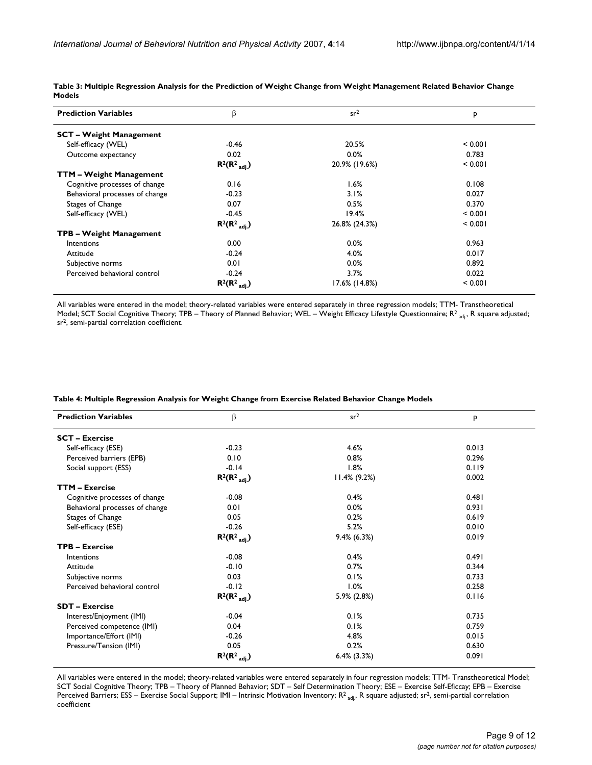| <b>Prediction Variables</b>    | β                        | sr <sup>2</sup> | P       |
|--------------------------------|--------------------------|-----------------|---------|
| <b>SCT - Weight Management</b> |                          |                 |         |
| Self-efficacy (WEL)            | $-0.46$                  | 20.5%           | < 0.001 |
| Outcome expectancy             | 0.02                     | 0.0%            | 0.783   |
|                                | $R^2(R^2_{\text{adi.}})$ | 20.9% (19.6%)   | < 0.001 |
| <b>TTM – Weight Management</b> |                          |                 |         |
| Cognitive processes of change  | 0.16                     | 1.6%            | 0.108   |
| Behavioral processes of change | $-0.23$                  | 3.1%            | 0.027   |
| Stages of Change               | 0.07                     | 0.5%            | 0.370   |
| Self-efficacy (WEL)            | $-0.45$                  | 19.4%           | < 0.001 |
|                                | $R^2(R^2_{\text{adj.}})$ | 26.8% (24.3%)   | < 0.001 |
| <b>TPB – Weight Management</b> |                          |                 |         |
| Intentions                     | 0.00                     | 0.0%            | 0.963   |
| Attitude                       | $-0.24$                  | 4.0%            | 0.017   |
| Subjective norms               | 0.01                     | 0.0%            | 0.892   |
| Perceived behavioral control   | $-0.24$                  | 3.7%            | 0.022   |
|                                | $R^2(R^2_{\text{adj.}})$ | 17.6% (14.8%)   | < 0.001 |

**Table 3: Multiple Regression Analysis for the Prediction of Weight Change from Weight Management Related Behavior Change Models**

All variables were entered in the model; theory-related variables were entered separately in three regression models; TTM- Transtheoretical Model; SCT Social Cognitive Theory; TPB – Theory of Planned Behavior; WEL – Weight Efficacy Lifestyle Questionnaire;  $R^2_{\text{adj}}$ , R square adjusted; sr2, semi-partial correlation coefficient.

| Table 4: Multiple Regression Analysis for Weight Change from Exercise Related Behavior Change Models |  |  |
|------------------------------------------------------------------------------------------------------|--|--|
|                                                                                                      |  |  |

| <b>Prediction Variables</b>    | β                        | sr <sup>2</sup>  | P     |
|--------------------------------|--------------------------|------------------|-------|
| <b>SCT - Exercise</b>          |                          |                  |       |
| Self-efficacy (ESE)            | $-0.23$                  | 4.6%             | 0.013 |
| Perceived barriers (EPB)       | 0.10                     | 0.8%             | 0.296 |
| Social support (ESS)           | $-0.14$                  | 1.8%             | 0.119 |
|                                | $R^2(R^2_{\text{adj.}})$ | $11.4\% (9.2\%)$ | 0.002 |
| <b>TTM - Exercise</b>          |                          |                  |       |
| Cognitive processes of change  | $-0.08$                  | 0.4%             | 0.481 |
| Behavioral processes of change | 0.01                     | 0.0%             | 0.931 |
| Stages of Change               | 0.05                     | 0.2%             | 0.619 |
| Self-efficacy (ESE)            | $-0.26$                  | 5.2%             | 0.010 |
|                                | $R^2(R^2_{\text{adj.}})$ | $9.4\%$ (6.3%)   | 0.019 |
| <b>TPB - Exercise</b>          |                          |                  |       |
| Intentions                     | $-0.08$                  | 0.4%             | 0.491 |
| Attitude                       | $-0.10$                  | 0.7%             | 0.344 |
| Subjective norms               | 0.03                     | 0.1%             | 0.733 |
| Perceived behavioral control   | $-0.12$                  | 1.0%             | 0.258 |
|                                | $R^2(R^2_{\text{adj.}})$ | 5.9% (2.8%)      | 0.116 |
| <b>SDT - Exercise</b>          |                          |                  |       |
| Interest/Enjoyment (IMI)       | $-0.04$                  | 0.1%             | 0.735 |
| Perceived competence (IMI)     | 0.04                     | 0.1%             | 0.759 |
| Importance/Effort (IMI)        | $-0.26$                  | 4.8%             | 0.015 |
| Pressure/Tension (IMI)         | 0.05                     | 0.2%             | 0.630 |
|                                | $R^2(R^2_{\text{adj.}})$ | $6.4\%$ (3.3%)   | 0.091 |

All variables were entered in the model; theory-related variables were entered separately in four regression models; TTM- Transtheoretical Model; SCT Social Cognitive Theory; TPB – Theory of Planned Behavior; SDT – Self Determination Theory; ESE – Exercise Self-Eficcay; EPB – Exercise Perceived Barriers; ESS – Exercise Social Support; IMI – Intrinsic Motivation Inventory; R<sup>2</sup> <sub>adj</sub>, R square adjusted; sr<sup>2</sup>, semi-partial correlation coefficient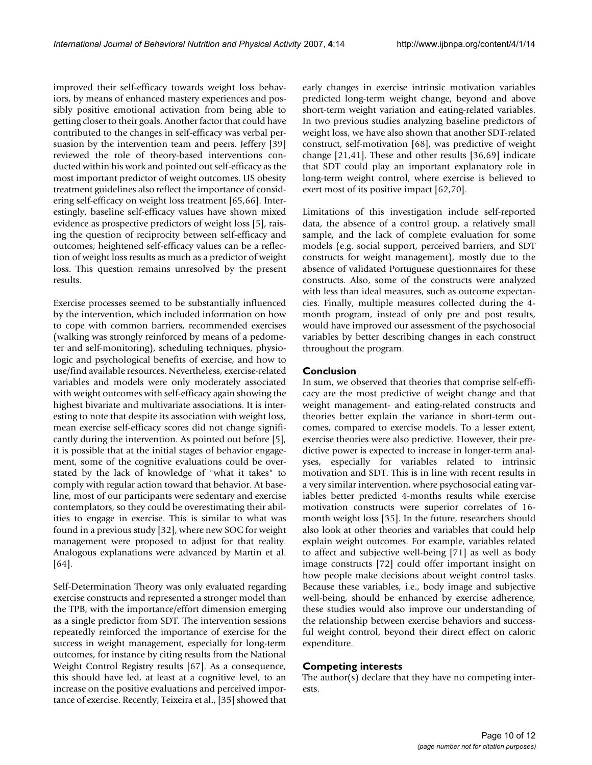improved their self-efficacy towards weight loss behaviors, by means of enhanced mastery experiences and possibly positive emotional activation from being able to getting closer to their goals. Another factor that could have contributed to the changes in self-efficacy was verbal persuasion by the intervention team and peers. Jeffery [39] reviewed the role of theory-based interventions conducted within his work and pointed out self-efficacy as the most important predictor of weight outcomes. US obesity treatment guidelines also reflect the importance of considering self-efficacy on weight loss treatment [65,66]. Interestingly, baseline self-efficacy values have shown mixed evidence as prospective predictors of weight loss [5], raising the question of reciprocity between self-efficacy and outcomes; heightened self-efficacy values can be a reflection of weight loss results as much as a predictor of weight loss. This question remains unresolved by the present results.

Exercise processes seemed to be substantially influenced by the intervention, which included information on how to cope with common barriers, recommended exercises (walking was strongly reinforced by means of a pedometer and self-monitoring), scheduling techniques, physiologic and psychological benefits of exercise, and how to use/find available resources. Nevertheless, exercise-related variables and models were only moderately associated with weight outcomes with self-efficacy again showing the highest bivariate and multivariate associations. It is interesting to note that despite its association with weight loss, mean exercise self-efficacy scores did not change significantly during the intervention. As pointed out before [5], it is possible that at the initial stages of behavior engagement, some of the cognitive evaluations could be overstated by the lack of knowledge of "what it takes" to comply with regular action toward that behavior. At baseline, most of our participants were sedentary and exercise contemplators, so they could be overestimating their abilities to engage in exercise. This is similar to what was found in a previous study [32], where new SOC for weight management were proposed to adjust for that reality. Analogous explanations were advanced by Martin et al. [64].

Self-Determination Theory was only evaluated regarding exercise constructs and represented a stronger model than the TPB, with the importance/effort dimension emerging as a single predictor from SDT. The intervention sessions repeatedly reinforced the importance of exercise for the success in weight management, especially for long-term outcomes, for instance by citing results from the National Weight Control Registry results [67]. As a consequence, this should have led, at least at a cognitive level, to an increase on the positive evaluations and perceived importance of exercise. Recently, Teixeira et al., [35] showed that early changes in exercise intrinsic motivation variables predicted long-term weight change, beyond and above short-term weight variation and eating-related variables. In two previous studies analyzing baseline predictors of weight loss, we have also shown that another SDT-related construct, self-motivation [68], was predictive of weight change [21,41]. These and other results [36,69] indicate that SDT could play an important explanatory role in long-term weight control, where exercise is believed to exert most of its positive impact [62,70].

Limitations of this investigation include self-reported data, the absence of a control group, a relatively small sample, and the lack of complete evaluation for some models (e.g. social support, perceived barriers, and SDT constructs for weight management), mostly due to the absence of validated Portuguese questionnaires for these constructs. Also, some of the constructs were analyzed with less than ideal measures, such as outcome expectancies. Finally, multiple measures collected during the 4 month program, instead of only pre and post results, would have improved our assessment of the psychosocial variables by better describing changes in each construct throughout the program.

#### **Conclusion**

In sum, we observed that theories that comprise self-efficacy are the most predictive of weight change and that weight management- and eating-related constructs and theories better explain the variance in short-term outcomes, compared to exercise models. To a lesser extent, exercise theories were also predictive. However, their predictive power is expected to increase in longer-term analyses, especially for variables related to intrinsic motivation and SDT. This is in line with recent results in a very similar intervention, where psychosocial eating variables better predicted 4-months results while exercise motivation constructs were superior correlates of 16 month weight loss [35]. In the future, researchers should also look at other theories and variables that could help explain weight outcomes. For example, variables related to affect and subjective well-being [71] as well as body image constructs [72] could offer important insight on how people make decisions about weight control tasks. Because these variables, i.e., body image and subjective well-being, should be enhanced by exercise adherence, these studies would also improve our understanding of the relationship between exercise behaviors and successful weight control, beyond their direct effect on caloric expenditure.

#### **Competing interests**

The author(s) declare that they have no competing interests.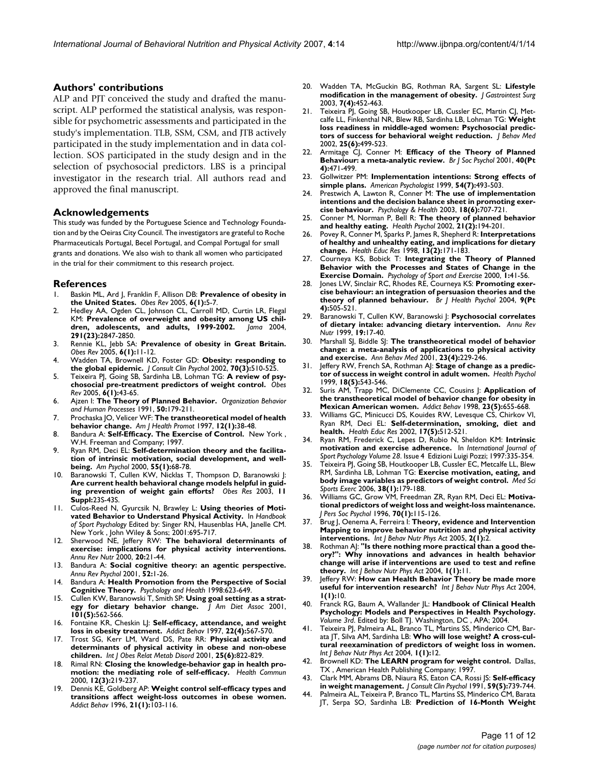#### **Authors' contributions**

ALP and PJT conceived the study and drafted the manuscript. ALP performed the statistical analysis, was responsible for psychometric assessments and participated in the study's implementation. TLB, SSM, CSM, and JTB actively participated in the study implementation and in data collection. SOS participated in the study design and in the selection of psychosocial predictors. LBS is a principal investigator in the research trial. All authors read and approved the final manuscript.

#### **Acknowledgements**

This study was funded by the Portuguese Science and Technology Foundation and by the Oeiras City Council. The investigators are grateful to Roche Pharmaceuticals Portugal, Becel Portugal, and Compal Portugal for small grants and donations. We also wish to thank all women who participated in the trial for their commitment to this research project.

#### **References**

- 1. Baskin ML, Ard J, Franklin F, Allison DB: **[Prevalence of obesity in](http://www.ncbi.nlm.nih.gov/entrez/query.fcgi?cmd=Retrieve&db=PubMed&dopt=Abstract&list_uids=15655032) [the United States.](http://www.ncbi.nlm.nih.gov/entrez/query.fcgi?cmd=Retrieve&db=PubMed&dopt=Abstract&list_uids=15655032)** *Obes Rev* 2005, **6(1):**5-7.
- 2. Hedley AA, Ogden CL, Johnson CL, Carroll MD, Curtin LR, Flegal KM: Prevalence of overweight and obesity among US chil-<br>dren, adolescents, and adults, 1999-2002. Jama 2004, [dren, adolescents, and adults, 1999-2002.](http://www.ncbi.nlm.nih.gov/entrez/query.fcgi?cmd=Retrieve&db=PubMed&dopt=Abstract&list_uids=15199035) **291(23):**2847-2850.
- 3. Rennie KL, Jebb SA: **[Prevalence of obesity in Great Britain.](http://www.ncbi.nlm.nih.gov/entrez/query.fcgi?cmd=Retrieve&db=PubMed&dopt=Abstract&list_uids=15655034)** *Obes Rev* 2005, **6(1):**11-12.
- 4. Wadden TA, Brownell KD, Foster GD: **[Obesity: responding to](http://www.ncbi.nlm.nih.gov/entrez/query.fcgi?cmd=Retrieve&db=PubMed&dopt=Abstract&list_uids=12090366) [the global epidemic.](http://www.ncbi.nlm.nih.gov/entrez/query.fcgi?cmd=Retrieve&db=PubMed&dopt=Abstract&list_uids=12090366)** *J Consult Clin Psychol* 2002, **70(3):**510-525.
- 5. Teixeira PJ, Going SB, Sardinha LB, Lohman TG: **[A review of psy](http://www.ncbi.nlm.nih.gov/entrez/query.fcgi?cmd=Retrieve&db=PubMed&dopt=Abstract&list_uids=15655038)[chosocial pre-treatment predictors of weight control.](http://www.ncbi.nlm.nih.gov/entrez/query.fcgi?cmd=Retrieve&db=PubMed&dopt=Abstract&list_uids=15655038)** *Obes Rev* 2005, **6(1):**43-65.
- 6. Ajzen I: **The Theory of Planned Behavior.** *Organization Behavior and Human Processes* 1991, **50:**179-211.
- 7. Prochaska JO, Velicer WF: **[The transtheoretical model of health](http://www.ncbi.nlm.nih.gov/entrez/query.fcgi?cmd=Retrieve&db=PubMed&dopt=Abstract&list_uids=10170434) [behavior change.](http://www.ncbi.nlm.nih.gov/entrez/query.fcgi?cmd=Retrieve&db=PubMed&dopt=Abstract&list_uids=10170434)** *Am J Health Promot* 1997, **12(1):**38-48.
- 8. Bandura A: **Self-Efficacy. The Exercise of Control.** New York , W.H. Freeman and Company; 1997.
- 9. Ryan RM, Deci EL: **[Self-determination theory and the facilita](http://www.ncbi.nlm.nih.gov/entrez/query.fcgi?cmd=Retrieve&db=PubMed&dopt=Abstract&list_uids=11392867)[tion of intrinsic motivation, social development, and well](http://www.ncbi.nlm.nih.gov/entrez/query.fcgi?cmd=Retrieve&db=PubMed&dopt=Abstract&list_uids=11392867)[being.](http://www.ncbi.nlm.nih.gov/entrez/query.fcgi?cmd=Retrieve&db=PubMed&dopt=Abstract&list_uids=11392867)** *Am Psychol* 2000, **55(1):**68-78.
- 10. Baranowski T, Cullen KW, Nicklas T, Thompson D, Baranowski J: **[Are current health behavioral change models helpful in guid](http://www.ncbi.nlm.nih.gov/entrez/query.fcgi?cmd=Retrieve&db=PubMed&dopt=Abstract&list_uids=14569036)[ing prevention of weight gain efforts?](http://www.ncbi.nlm.nih.gov/entrez/query.fcgi?cmd=Retrieve&db=PubMed&dopt=Abstract&list_uids=14569036)** *Obes Res* 2003, **11 Suppl:**23S-43S.
- 11. Culos-Reed N, Gyurcsik N, Brawley L: **Using theories of Motivated Behavior to Understand Physical Activity.** In *Handbook of Sport Psychology* Edited by: Singer RN, Hausenblas HA, Janelle CM. New York , John Wiley & Sons; 2001:695-717.
- 12. Sherwood NE, Jeffery RW: **[The behavioral determinants of](http://www.ncbi.nlm.nih.gov/entrez/query.fcgi?cmd=Retrieve&db=PubMed&dopt=Abstract&list_uids=10940325) [exercise: implications for physical activity interventions.](http://www.ncbi.nlm.nih.gov/entrez/query.fcgi?cmd=Retrieve&db=PubMed&dopt=Abstract&list_uids=10940325)** *Annu Rev Nutr* 2000, **20:**21-44.
- 13. Bandura A: **[Social cognitive theory: an agentic perspective.](http://www.ncbi.nlm.nih.gov/entrez/query.fcgi?cmd=Retrieve&db=PubMed&dopt=Abstract&list_uids=11148297)** *Annu Rev Psychol* 2001, **52:**1-26.
- 14. Bandura A: **Health Promotion from the Perspective of Social Cognitive Theory.** *Psychology and Health* 1998:623-649.
- 15. Cullen KW, Baranowski T, Smith SP: **[Using goal setting as a strat](http://www.ncbi.nlm.nih.gov/entrez/query.fcgi?cmd=Retrieve&db=PubMed&dopt=Abstract&list_uids=11374350)[egy for dietary behavior change.](http://www.ncbi.nlm.nih.gov/entrez/query.fcgi?cmd=Retrieve&db=PubMed&dopt=Abstract&list_uids=11374350)** *J Am Diet Assoc* 2001, **101(5):**562-566.
- 16. Fontaine KR, Cheskin LJ: **[Self-efficacy, attendance, and weight](http://www.ncbi.nlm.nih.gov/entrez/query.fcgi?cmd=Retrieve&db=PubMed&dopt=Abstract&list_uids=9290865) [loss in obesity treatment.](http://www.ncbi.nlm.nih.gov/entrez/query.fcgi?cmd=Retrieve&db=PubMed&dopt=Abstract&list_uids=9290865)** *Addict Behav* 1997, **22(4):**567-570.
- 17. Trost SG, Kerr LM, Ward DS, Pate RR: **[Physical activity and](http://www.ncbi.nlm.nih.gov/entrez/query.fcgi?cmd=Retrieve&db=PubMed&dopt=Abstract&list_uids=11439296) [determinants of physical activity in obese and non-obese](http://www.ncbi.nlm.nih.gov/entrez/query.fcgi?cmd=Retrieve&db=PubMed&dopt=Abstract&list_uids=11439296) [children.](http://www.ncbi.nlm.nih.gov/entrez/query.fcgi?cmd=Retrieve&db=PubMed&dopt=Abstract&list_uids=11439296)** *Int J Obes Relat Metab Disord* 2001, **25(6):**822-829.
- 18. Rimal RN: **[Closing the knowledge-behavior gap in health pro](http://www.ncbi.nlm.nih.gov/entrez/query.fcgi?cmd=Retrieve&db=PubMed&dopt=Abstract&list_uids=10938914)[motion: the mediating role of self-efficacy.](http://www.ncbi.nlm.nih.gov/entrez/query.fcgi?cmd=Retrieve&db=PubMed&dopt=Abstract&list_uids=10938914)** *Health Commun* 2000, **12(3):**219-237.
- 19. Dennis KE, Goldberg AP: **[Weight control self-efficacy types and](http://www.ncbi.nlm.nih.gov/entrez/query.fcgi?cmd=Retrieve&db=PubMed&dopt=Abstract&list_uids=8729712) [transitions affect weight-loss outcomes in obese women.](http://www.ncbi.nlm.nih.gov/entrez/query.fcgi?cmd=Retrieve&db=PubMed&dopt=Abstract&list_uids=8729712)** *Addict Behav* 1996, **21(1):**103-116.
- 20. Wadden TA, McGuckin BG, Rothman RA, Sargent SL: **[Lifestyle](http://www.ncbi.nlm.nih.gov/entrez/query.fcgi?cmd=Retrieve&db=PubMed&dopt=Abstract&list_uids=12763398) [modification in the management of obesity.](http://www.ncbi.nlm.nih.gov/entrez/query.fcgi?cmd=Retrieve&db=PubMed&dopt=Abstract&list_uids=12763398)** *J Gastrointest Surg* 2003, **7(4):**452-463.
- 21. Teixeira PJ, Going SB, Houtkooper LB, Cussler EC, Martin CJ, Metcalfe LL, Finkenthal NR, Blew RB, Sardinha LB, Lohman TG: **[Weight](http://www.ncbi.nlm.nih.gov/entrez/query.fcgi?cmd=Retrieve&db=PubMed&dopt=Abstract&list_uids=12462956) [loss readiness in middle-aged women: Psychosocial predic](http://www.ncbi.nlm.nih.gov/entrez/query.fcgi?cmd=Retrieve&db=PubMed&dopt=Abstract&list_uids=12462956)[tors of success for behavioral weight reduction.](http://www.ncbi.nlm.nih.gov/entrez/query.fcgi?cmd=Retrieve&db=PubMed&dopt=Abstract&list_uids=12462956)** *J Behav Med* 2002, **25(6):**499-523.
- 22. Armitage CJ, Conner M: **[Efficacy of the Theory of Planned](http://www.ncbi.nlm.nih.gov/entrez/query.fcgi?cmd=Retrieve&db=PubMed&dopt=Abstract&list_uids=11795063) [Behaviour: a meta-analytic review.](http://www.ncbi.nlm.nih.gov/entrez/query.fcgi?cmd=Retrieve&db=PubMed&dopt=Abstract&list_uids=11795063)** *Br J Soc Psychol* 2001, **40(Pt 4):**471-499.
- 23. Gollwitzer PM: **Implementation intentions: Strong effects of simple plans.** *American Psychologist* 1999, **54(7):**493-503.
- 24. Prestwich A, Lawton R, Conner M: **The use of implementation intentions and the decision balance sheet in promoting exercise behaviour.** *Psychology & Health* 2003, **18(6):**707-721.
- 25. Conner M, Norman P, Bell R: **[The theory of planned behavior](http://www.ncbi.nlm.nih.gov/entrez/query.fcgi?cmd=Retrieve&db=PubMed&dopt=Abstract&list_uids=11950110) [and healthy eating.](http://www.ncbi.nlm.nih.gov/entrez/query.fcgi?cmd=Retrieve&db=PubMed&dopt=Abstract&list_uids=11950110)** *Health Psychol* 2002, **21(2):**194-201.
- 26. Povey R, Conner M, Sparks P, James R, Shepherd R: **[Interpretations](http://www.ncbi.nlm.nih.gov/entrez/query.fcgi?cmd=Retrieve&db=PubMed&dopt=Abstract&list_uids=10181016) [of healthy and unhealthy eating, and implications for dietary](http://www.ncbi.nlm.nih.gov/entrez/query.fcgi?cmd=Retrieve&db=PubMed&dopt=Abstract&list_uids=10181016) [change.](http://www.ncbi.nlm.nih.gov/entrez/query.fcgi?cmd=Retrieve&db=PubMed&dopt=Abstract&list_uids=10181016)** *Health Educ Res* 1998, **13(2):**171-183.
- 27. Courneya KS, Bobick T: **Integrating the Theory of Planned Behavior with the Processes and States of Change in the Exercise Domain.** *Psychology of Sport and Exercise* 2000, **1:**41-56.
- 28. Jones LW, Sinclair RC, Rhodes RE, Courneya KS: **[Promoting exer](http://www.ncbi.nlm.nih.gov/entrez/query.fcgi?cmd=Retrieve&db=PubMed&dopt=Abstract&list_uids=15509358)[cise behaviour: an integration of persuasion theories and the](http://www.ncbi.nlm.nih.gov/entrez/query.fcgi?cmd=Retrieve&db=PubMed&dopt=Abstract&list_uids=15509358) [theory of planned behaviour.](http://www.ncbi.nlm.nih.gov/entrez/query.fcgi?cmd=Retrieve&db=PubMed&dopt=Abstract&list_uids=15509358)** *Br J Health Psychol* 2004, **9(Pt 4):**505-521.
- 29. Baranowski T, Cullen KW, Baranowski J: **[Psychosocial correlates](http://www.ncbi.nlm.nih.gov/entrez/query.fcgi?cmd=Retrieve&db=PubMed&dopt=Abstract&list_uids=10448515) [of dietary intake: advancing dietary intervention.](http://www.ncbi.nlm.nih.gov/entrez/query.fcgi?cmd=Retrieve&db=PubMed&dopt=Abstract&list_uids=10448515)** *Annu Rev Nutr* 1999, **19:**17-40.
- 30. Marshall SJ, Biddle SJ: **[The transtheoretical model of behavior](http://www.ncbi.nlm.nih.gov/entrez/query.fcgi?cmd=Retrieve&db=PubMed&dopt=Abstract&list_uids=11761340) [change: a meta-analysis of applications to physical activity](http://www.ncbi.nlm.nih.gov/entrez/query.fcgi?cmd=Retrieve&db=PubMed&dopt=Abstract&list_uids=11761340) [and exercise.](http://www.ncbi.nlm.nih.gov/entrez/query.fcgi?cmd=Retrieve&db=PubMed&dopt=Abstract&list_uids=11761340)** *Ann Behav Med* 2001, **23(4):**229-246.
- 31. Jeffery RW, French SA, Rothman AJ: **[Stage of change as a predic](http://www.ncbi.nlm.nih.gov/entrez/query.fcgi?cmd=Retrieve&db=PubMed&dopt=Abstract&list_uids=10519471)[tor of success in weight control in adult women.](http://www.ncbi.nlm.nih.gov/entrez/query.fcgi?cmd=Retrieve&db=PubMed&dopt=Abstract&list_uids=10519471)** *Health Psychol* 1999, **18(5):**543-546.
- 32. Suris AM, Trapp MC, DiClemente CC, Cousins J: **[Application of](http://www.ncbi.nlm.nih.gov/entrez/query.fcgi?cmd=Retrieve&db=PubMed&dopt=Abstract&list_uids=9768301) [the transtheoretical model of behavior change for obesity in](http://www.ncbi.nlm.nih.gov/entrez/query.fcgi?cmd=Retrieve&db=PubMed&dopt=Abstract&list_uids=9768301) [Mexican American women.](http://www.ncbi.nlm.nih.gov/entrez/query.fcgi?cmd=Retrieve&db=PubMed&dopt=Abstract&list_uids=9768301)** *Addict Behav* 1998, **23(5):**655-668.
- 33. Williams GC, Minicucci DS, Kouides RW, Levesque CS, Chirkov VI, Ryan RM, Deci EL: **[Self-determination, smoking, diet and](http://www.ncbi.nlm.nih.gov/entrez/query.fcgi?cmd=Retrieve&db=PubMed&dopt=Abstract&list_uids=12408196) [health.](http://www.ncbi.nlm.nih.gov/entrez/query.fcgi?cmd=Retrieve&db=PubMed&dopt=Abstract&list_uids=12408196)** *Health Educ Res* 2002, **17(5):**512-521.
- 34. Ryan RM, Frederick C, Lepes D, Rubio N, Sheldon KM: **Intrinsic motivation and exercise adherence.** In *International Journal of Sport Psychology Volume 28*. Issue 4 Edizioni Luigi Pozzi; 1997:335-354.
- 35. Teixeira PJ, Going SB, Houtkooper LB, Cussler EC, Metcalfe LL, Blew RM, Sardinha LB, Lohman TG: **[Exercise motivation, eating, and](http://www.ncbi.nlm.nih.gov/entrez/query.fcgi?cmd=Retrieve&db=PubMed&dopt=Abstract&list_uids=16394972) [body image variables as predictors of weight control.](http://www.ncbi.nlm.nih.gov/entrez/query.fcgi?cmd=Retrieve&db=PubMed&dopt=Abstract&list_uids=16394972)** *Med Sci Sports Exerc* 2006, **38(1):**179-188.
- 36. Williams GC, Grow VM, Freedman ZR, Ryan RM, Deci EL: **[Motiva](http://www.ncbi.nlm.nih.gov/entrez/query.fcgi?cmd=Retrieve&db=PubMed&dopt=Abstract&list_uids=8558405)[tional predictors of weight loss and weight-loss maintenance.](http://www.ncbi.nlm.nih.gov/entrez/query.fcgi?cmd=Retrieve&db=PubMed&dopt=Abstract&list_uids=8558405)** *J Pers Soc Psychol* 1996, **70(1):**115-126.
- 37. Brug J, Oenema A, Ferreira I: **[Theory, evidence and Intervention](http://www.ncbi.nlm.nih.gov/entrez/query.fcgi?cmd=Retrieve&db=PubMed&dopt=Abstract&list_uids=15807898) [Mapping to improve behavior nutrition and physical activity](http://www.ncbi.nlm.nih.gov/entrez/query.fcgi?cmd=Retrieve&db=PubMed&dopt=Abstract&list_uids=15807898) [interventions.](http://www.ncbi.nlm.nih.gov/entrez/query.fcgi?cmd=Retrieve&db=PubMed&dopt=Abstract&list_uids=15807898)** *Int J Behav Nutr Phys Act* 2005, **2(1):**2.
- 38. Rothman AJ: **["Is there nothing more practical than a good the](http://www.ncbi.nlm.nih.gov/entrez/query.fcgi?cmd=Retrieve&db=PubMed&dopt=Abstract&list_uids=15279674)ory?": Why innovations and advances in health behavior [change will arise if interventions are used to test and refine](http://www.ncbi.nlm.nih.gov/entrez/query.fcgi?cmd=Retrieve&db=PubMed&dopt=Abstract&list_uids=15279674) [theory.](http://www.ncbi.nlm.nih.gov/entrez/query.fcgi?cmd=Retrieve&db=PubMed&dopt=Abstract&list_uids=15279674)** *Int J Behav Nutr Phys Act* 2004, **1(1):**11.
- 39. Jeffery RW: **[How can Health Behavior Theory be made more](http://www.ncbi.nlm.nih.gov/entrez/query.fcgi?cmd=Retrieve&db=PubMed&dopt=Abstract&list_uids=15272938) [useful for intervention research?](http://www.ncbi.nlm.nih.gov/entrez/query.fcgi?cmd=Retrieve&db=PubMed&dopt=Abstract&list_uids=15272938)** *Int J Behav Nutr Phys Act* 2004, **1(1):**10.
- 40. Franck RG, Baum A, Wallander JL: **Handbook of Clinical Health Psychology: Models and Perspectives in Health Psychology.** *Volume 3rd*. Edited by: Boll TJ. Washington, DC , APA; 2004.
- 41. Teixeira PJ, Palmeira AL, Branco TL, Martins SS, Minderico CM, Barata JT, Silva AM, Sardinha LB: **[Who will lose weight? A cross-cul](http://www.ncbi.nlm.nih.gov/entrez/query.fcgi?cmd=Retrieve&db=PubMed&dopt=Abstract&list_uids=15287984)[tural reexamination of predictors of weight loss in women.](http://www.ncbi.nlm.nih.gov/entrez/query.fcgi?cmd=Retrieve&db=PubMed&dopt=Abstract&list_uids=15287984)** *Int J Behav Nutr Phys Act* 2004, **1(1):**12.
- 42. Brownell KD: **The LEARN program for weight control.** Dallas, TX , American Health Publishing Company; 1997.
- 43. Clark MM, Abrams DB, Niaura RS, Eaton CA, Rossi JS: **[Self-efficacy](http://www.ncbi.nlm.nih.gov/entrez/query.fcgi?cmd=Retrieve&db=PubMed&dopt=Abstract&list_uids=1955608) [in weight management.](http://www.ncbi.nlm.nih.gov/entrez/query.fcgi?cmd=Retrieve&db=PubMed&dopt=Abstract&list_uids=1955608)** *J Consult Clin Psychol* 1991, **59(5):**739-744.
- 44. Palmeira AL, Teixeira P, Branco TL, Martins SS, Minderico CM, Barata JT, Serpa SO, Sardinha LB: **Prediction of 16-Month Weight**